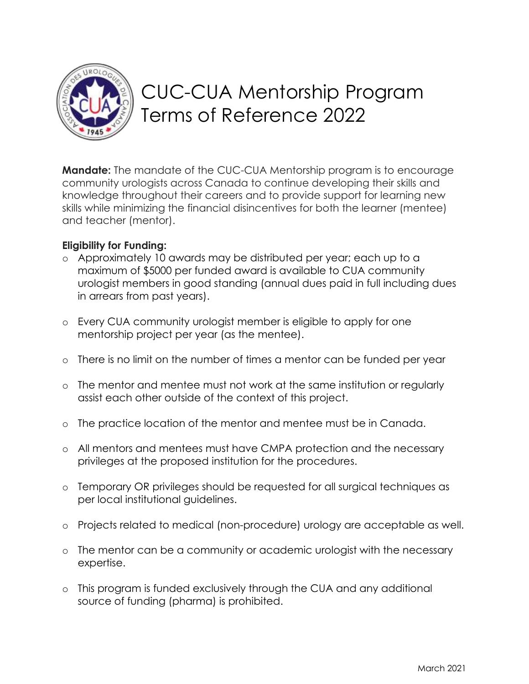

# CUC-CUA Mentorship Program Terms of Reference 2022

**Mandate:** The mandate of the CUC-CUA Mentorship program is to encourage community urologists across Canada to continue developing their skills and knowledge throughout their careers and to provide support for learning new skills while minimizing the financial disincentives for both the learner (mentee) and teacher (mentor).

## **Eligibility for Funding:**

- o Approximately 10 awards may be distributed per year; each up to a maximum of \$5000 per funded award is available to CUA community urologist members in good standing (annual dues paid in full including dues in arrears from past years).
- o Every CUA community urologist member is eligible to apply for one mentorship project per year (as the mentee).
- o There is no limit on the number of times a mentor can be funded per year
- o The mentor and mentee must not work at the same institution or regularly assist each other outside of the context of this project.
- o The practice location of the mentor and mentee must be in Canada.
- o All mentors and mentees must have CMPA protection and the necessary privileges at the proposed institution for the procedures.
- o Temporary OR privileges should be requested for all surgical techniques as per local institutional guidelines.
- o Projects related to medical (non-procedure) urology are acceptable as well.
- o The mentor can be a community or academic urologist with the necessary expertise.
- o This program is funded exclusively through the CUA and any additional source of funding (pharma) is prohibited.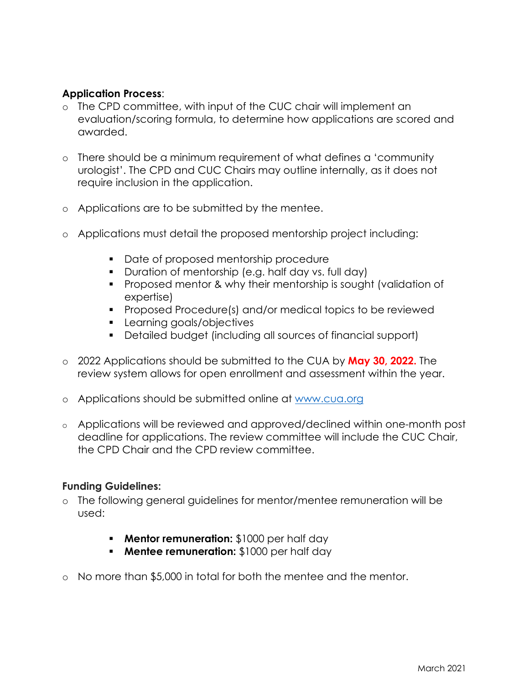## **Application Process**:

- o The CPD committee, with input of the CUC chair will implement an evaluation/scoring formula, to determine how applications are scored and awarded.
- o There should be a minimum requirement of what defines a 'community urologist'. The CPD and CUC Chairs may outline internally, as it does not require inclusion in the application.
- o Applications are to be submitted by the mentee.
- o Applications must detail the proposed mentorship project including:
	- Date of proposed mentorship procedure
	- Duration of mentorship (e.g. half day vs. full day)
	- Proposed mentor & why their mentorship is sought (validation of expertise)
	- Proposed Procedure(s) and/or medical topics to be reviewed
	- Learning goals/objectives
	- Detailed budget (including all sources of financial support)
- o 2022 Applications should be submitted to the CUA by **May 30, 2022.** The review system allows for open enrollment and assessment within the year.
- o Applications should be submitted online at [www.cua.org](https://www.cua.org/cpd-grant-program?id=9871#cpd-community-grants-details)
- o Applications will be reviewed and approved/declined within one-month post deadline for applications. The review committee will include the CUC Chair, the CPD Chair and the CPD review committee.

### **Funding Guidelines:**

- o The following general guidelines for mentor/mentee remuneration will be used:
	- **Mentor remuneration:** \$1000 per half day
	- **Mentee remuneration:** \$1000 per half day
- o No more than \$5,000 in total for both the mentee and the mentor.